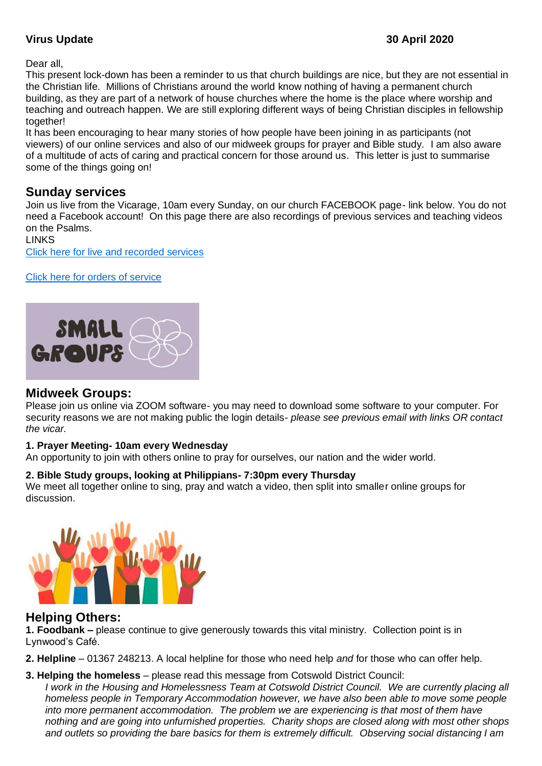### **Virus Update 30 April 2020**

Dear all,

This present lock-down has been a reminder to us that church buildings are nice, but they are not essential in the Christian life. Millions of Christians around the world know nothing of having a permanent church building, as they are part of a network of house churches where the home is the place where worship and teaching and outreach happen. We are still exploring different ways of being Christian disciples in fellowship together!

It has been encouraging to hear many stories of how people have been joining in as participants (not viewers) of our online services and also of our midweek groups for prayer and Bible study. I am also aware of a multitude of acts of caring and practical concern for those around us. This letter is just to summarise some of the things going on!

## **Sunday services**

Join us live from the Vicarage, 10am every Sunday, on our church FACEBOOK page- link below. You do not need a Facebook account! On this page there are also recordings of previous services and teaching videos on the Psalms.

**LINKS** [Click here for live and recorded services](http://www.facebook.com/stlawrencelechlade/videos)

[Click here for orders of service](https://www.stlawrencelechlade.org.uk/orders-of-service/)



## **Midweek Groups:**

Please join us online via ZOOM software- you may need to download some software to your computer. For security reasons we are not making public the login details- *please see previous email with links OR contact the vicar.*

### **1. Prayer Meeting- 10am every Wednesday**

An opportunity to join with others online to pray for ourselves, our nation and the wider world.

#### **2. Bible Study groups, looking at Philippians- 7:30pm every Thursday**

We meet all together online to sing, pray and watch a video, then split into smaller online groups for discussion.



## **Helping Others:**

**1. Foodbank –** please continue to give generously towards this vital ministry. Collection point is in Lynwood's Café.

**2. Helpline** – 01367 248213. A local helpline for those who need help *and* for those who can offer help.

### **3. Helping the homeless** – please read this message from Cotswold District Council:

*I work in the Housing and Homelessness Team at Cotswold District Council. We are currently placing all homeless people in Temporary Accommodation however, we have also been able to move some people into more permanent accommodation. The problem we are experiencing is that most of them have nothing and are going into unfurnished properties. Charity shops are closed along with most other shops and outlets so providing the bare basics for them is extremely difficult. Observing social distancing I am*